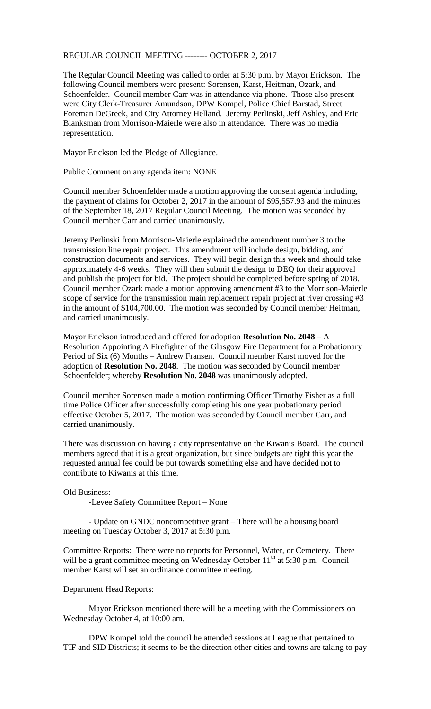## REGULAR COUNCIL MEETING -------- OCTOBER 2, 2017

The Regular Council Meeting was called to order at 5:30 p.m. by Mayor Erickson. The following Council members were present: Sorensen, Karst, Heitman, Ozark, and Schoenfelder. Council member Carr was in attendance via phone. Those also present were City Clerk-Treasurer Amundson, DPW Kompel, Police Chief Barstad, Street Foreman DeGreek, and City Attorney Helland. Jeremy Perlinski, Jeff Ashley, and Eric Blanksman from Morrison-Maierle were also in attendance. There was no media representation.

Mayor Erickson led the Pledge of Allegiance.

Public Comment on any agenda item: NONE

Council member Schoenfelder made a motion approving the consent agenda including, the payment of claims for October 2, 2017 in the amount of \$95,557.93 and the minutes of the September 18, 2017 Regular Council Meeting. The motion was seconded by Council member Carr and carried unanimously.

Jeremy Perlinski from Morrison-Maierle explained the amendment number 3 to the transmission line repair project. This amendment will include design, bidding, and construction documents and services. They will begin design this week and should take approximately 4-6 weeks. They will then submit the design to DEQ for their approval and publish the project for bid. The project should be completed before spring of 2018. Council member Ozark made a motion approving amendment #3 to the Morrison-Maierle scope of service for the transmission main replacement repair project at river crossing #3 in the amount of \$104,700.00. The motion was seconded by Council member Heitman, and carried unanimously.

Mayor Erickson introduced and offered for adoption **Resolution No. 2048** – A Resolution Appointing A Firefighter of the Glasgow Fire Department for a Probationary Period of Six (6) Months – Andrew Fransen. Council member Karst moved for the adoption of **Resolution No. 2048**. The motion was seconded by Council member Schoenfelder; whereby **Resolution No. 2048** was unanimously adopted.

Council member Sorensen made a motion confirming Officer Timothy Fisher as a full time Police Officer after successfully completing his one year probationary period effective October 5, 2017. The motion was seconded by Council member Carr, and carried unanimously.

There was discussion on having a city representative on the Kiwanis Board. The council members agreed that it is a great organization, but since budgets are tight this year the requested annual fee could be put towards something else and have decided not to contribute to Kiwanis at this time.

Old Business:

-Levee Safety Committee Report – None

- Update on GNDC noncompetitive grant – There will be a housing board meeting on Tuesday October 3, 2017 at 5:30 p.m.

Committee Reports: There were no reports for Personnel, Water, or Cemetery. There will be a grant committee meeting on Wednesday October  $11<sup>th</sup>$  at 5:30 p.m. Council member Karst will set an ordinance committee meeting.

## Department Head Reports:

Mayor Erickson mentioned there will be a meeting with the Commissioners on Wednesday October 4, at 10:00 am.

DPW Kompel told the council he attended sessions at League that pertained to TIF and SID Districts; it seems to be the direction other cities and towns are taking to pay